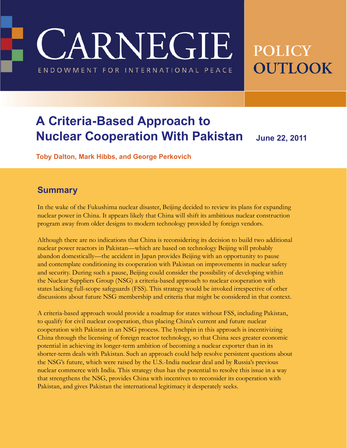**CARNEGIE** 

ENDOWMENT FOR INTERNATIONAL PEACE

# **POLICY OUTLOOK**

## **A Criteria-Based Approach to Nuclear Cooperation With Pakistan** June 22, 2011

**Toby Dalton, Mark Hibbs, and George Perkovich**

#### **Summary**

In the wake of the Fukushima nuclear disaster, Beijing decided to review its plans for expanding nuclear power in China. It appears likely that China will shift its ambitious nuclear construction program away from older designs to modern technology provided by foreign vendors.

Although there are no indications that China is reconsidering its decision to build two additional nuclear power reactors in Pakistan—which are based on technology Beijing will probably abandon domestically—the accident in Japan provides Beijing with an opportunity to pause and contemplate conditioning its cooperation with Pakistan on improvements in nuclear safety and security. During such a pause, Beijing could consider the possibility of developing within the Nuclear Suppliers Group (NSG) a criteria-based approach to nuclear cooperation with states lacking full-scope safeguards (FSS). This strategy would be invoked irrespective of other discussions about future NSG membership and criteria that might be considered in that context.

A criteria-based approach would provide a roadmap for states without FSS, including Pakistan, to qualify for civil nuclear cooperation, thus placing China's current and future nuclear cooperation with Pakistan in an NSG process. The lynchpin in this approach is incentivizing China through the licensing of foreign reactor technology, so that China sees greater economic potential in achieving its longer-term ambition of becoming a nuclear exporter than in its shorter-term deals with Pakistan. Such an approach could help resolve persistent questions about the NSG's future, which were raised by the U.S.-India nuclear deal and by Russia's previous nuclear commerce with India. This strategy thus has the potential to resolve this issue in a way that strengthens the NSG, provides China with incentives to reconsider its cooperation with Pakistan, and gives Pakistan the international legitimacy it desperately seeks.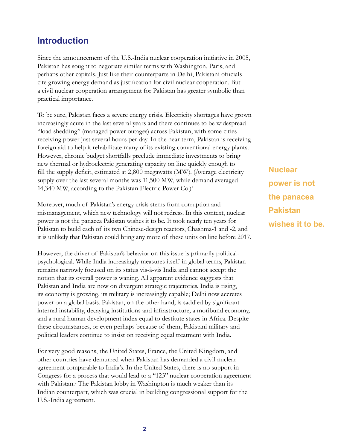## **Introduction**

Since the announcement of the U.S.-India nuclear cooperation initiative in 2005, Pakistan has sought to negotiate similar terms with Washington, Paris, and perhaps other capitals. Just like their counterparts in Delhi, Pakistani officials cite growing energy demand as justification for civil nuclear cooperation. But a civil nuclear cooperation arrangement for Pakistan has greater symbolic than practical importance.

To be sure, Pakistan faces a severe energy crisis. Electricity shortages have grown increasingly acute in the last several years and there continues to be widespread "load shedding" (managed power outages) across Pakistan, with some cities receiving power just several hours per day. In the near term, Pakistan is receiving foreign aid to help it rehabilitate many of its existing conventional energy plants. However, chronic budget shortfalls preclude immediate investments to bring new thermal or hydroelectric generating capacity on line quickly enough to fill the supply deficit, estimated at 2,800 megawatts (MW). (Average electricity supply over the last several months was 11,500 MW, while demand averaged 14,340 MW, according to the Pakistan Electric Power Co.)1

Moreover, much of Pakistan's energy crisis stems from corruption and mismanagement, which new technology will not redress. In this context, nuclear power is not the panacea Pakistan wishes it to be. It took nearly ten years for Pakistan to build each of its two Chinese-design reactors, Chashma-1 and -2, and it is unlikely that Pakistan could bring any more of these units on line before 2017.

However, the driver of Pakistan's behavior on this issue is primarily politicalpsychological. While India increasingly measures itself in global terms, Pakistan remains narrowly focused on its status vis-à-vis India and cannot accept the notion that its overall power is waning. All apparent evidence suggests that Pakistan and India are now on divergent strategic trajectories. India is rising, its economy is growing, its military is increasingly capable; Delhi now accretes power on a global basis. Pakistan, on the other hand, is saddled by significant internal instability, decaying institutions and infrastructure, a moribund economy, and a rural human development index equal to destitute states in Africa. Despite these circumstances, or even perhaps because of them, Pakistani military and political leaders continue to insist on receiving equal treatment with India.

For very good reasons, the United States, France, the United Kingdom, and other countries have demurred when Pakistan has demanded a civil nuclear agreement comparable to India's. In the United States, there is no support in Congress for a process that would lead to a "123" nuclear cooperation agreement with Pakistan.<sup>2</sup> The Pakistan lobby in Washington is much weaker than its Indian counterpart, which was crucial in building congressional support for the U.S.-India agreement.

**Nuclear power is not the panacea Pakistan wishes it to be.**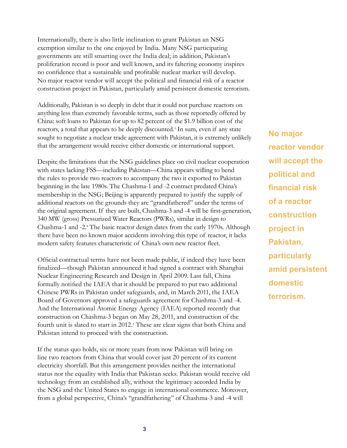Internationally, there is also little inclination to grant Pakistan an NSG exemption similar to the one enjoyed by India. Many NSG participating governments are still smarting over the India deal; in addition, Pakistan's proliferation record is poor and well known, and its faltering economy inspires no confidence that a sustainable and profitable nuclear market will develop. No major reactor vendor will accept the political and financial risk of a reactor construction project in Pakistan, particularly amid persistent domestic terrorism.

Additionally, Pakistan is so deeply in debt that it could not purchase reactors on anything less than extremely favorable terms, such as those reportedly offered by China: soft loans to Pakistan for up to 82 percent of the \$1.9 billion cost of the reactors, a total that appears to be deeply discounted.<sup>3</sup> In sum, even if any state sought to negotiate a nuclear trade agreement with Pakistan, it is extremely unlikely that the arrangement would receive either domestic or international support.

Despite the limitations that the NSG guidelines place on civil nuclear cooperation with states lacking FSS—including Pakistan—China appears willing to bend the rules to provide two reactors to accompany the two it exported to Pakistan beginning in the late 1980s. The Chashma-1 and -2 contract predated China's membership in the NSG; Beijing is apparently prepared to justify the supply of additional reactors on the grounds they are "grandfathered" under the terms of the original agreement. If they are built, Chashma-3 and -4 will be first-generation, 340 MW (gross) Pressurized Water Reactors (PWRs), similar in design to Chashma-1 and -2.4 The basic reactor design dates from the early 1970s. Although there have been no known major accidents involving this type of reactor, it lacks modern safety features characteristic of China's own new reactor fleet.

Official contractual terms have not been made public, if indeed they have been finalized—though Pakistan announced it had signed a contract with Shanghai Nuclear Engineering Research and Design in April 2009. Last fall, China formally notified the IAEA that it should be prepared to put two additional Chinese PWRs in Pakistan under safeguards, and, in March 2011, the IAEA Board of Governors approved a safeguards agreement for Chashma-3 and -4. And the International Atomic Energy Agency (IAEA) reported recently that construction on Chashma-3 began on May 28, 2011, and construction of the fourth unit is slated to start in 2012.<sup>5</sup> These are clear signs that both China and Pakistan intend to proceed with the construction.

If the status quo holds, six or more years from now Pakistan will bring on line two reactors from China that would cover just 20 percent of its current electricity shortfall. But this arrangement provides neither the international status nor the equality with India that Pakistan seeks. Pakistan would receive old technology from an established ally, without the legitimacy accorded India by the NSG and the United States to engage in international commerce. Moreover, from a global perspective, China's "grandfathering" of Chashma-3 and -4 will

**No major reactor vendor will accept the political and financial risk of a reactor construction project in Pakistan, particularly amid persistent domestic terrorism.**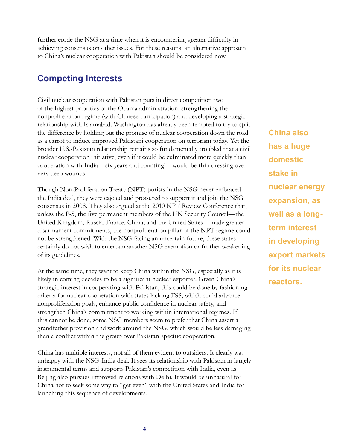further erode the NSG at a time when it is encountering greater difficulty in achieving consensus on other issues. For these reasons, an alternative approach to China's nuclear cooperation with Pakistan should be considered now.

## **Competing Interests**

Civil nuclear cooperation with Pakistan puts in direct competition two of the highest priorities of the Obama administration: strengthening the nonproliferation regime (with Chinese participation) and developing a strategic relationship with Islamabad. Washington has already been tempted to try to split the difference by holding out the promise of nuclear cooperation down the road as a carrot to induce improved Pakistani cooperation on terrorism today. Yet the broader U.S.-Pakistan relationship remains so fundamentally troubled that a civil nuclear cooperation initiative, even if it could be culminated more quickly than cooperation with India—six years and counting!—would be thin dressing over very deep wounds.

Though Non-Proliferation Treaty (NPT) purists in the NSG never embraced the India deal, they were cajoled and pressured to support it and join the NSG consensus in 2008. They also argued at the 2010 NPT Review Conference that, unless the P-5, the five permanent members of the UN Security Council—the United Kingdom, Russia, France, China, and the United States—made greater disarmament commitments, the nonproliferation pillar of the NPT regime could not be strengthened. With the NSG facing an uncertain future, these states certainly do not wish to entertain another NSG exemption or further weakening of its guidelines.

At the same time, they want to keep China within the NSG, especially as it is likely in coming decades to be a significant nuclear exporter. Given China's strategic interest in cooperating with Pakistan, this could be done by fashioning criteria for nuclear cooperation with states lacking FSS, which could advance nonproliferation goals, enhance public confidence in nuclear safety, and strengthen China's commitment to working within international regimes. If this cannot be done, some NSG members seem to prefer that China assert a grandfather provision and work around the NSG, which would be less damaging than a conflict within the group over Pakistan-specific cooperation.

China has multiple interests, not all of them evident to outsiders. It clearly was unhappy with the NSG-India deal. It sees its relationship with Pakistan in largely instrumental terms and supports Pakistan's competition with India, even as Beijing also pursues improved relations with Delhi. It would be unnatural for China not to seek some way to "get even" with the United States and India for launching this sequence of developments.

**China also has a huge domestic stake in nuclear energy expansion, as well as a longterm interest in developing export markets for its nuclear reactors.**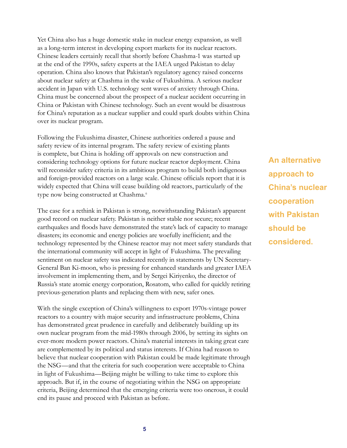Yet China also has a huge domestic stake in nuclear energy expansion, as well as a long-term interest in developing export markets for its nuclear reactors. Chinese leaders certainly recall that shortly before Chashma-1 was started up at the end of the 1990s, safety experts at the IAEA urged Pakistan to delay operation. China also knows that Pakistan's regulatory agency raised concerns about nuclear safety at Chashma in the wake of Fukushima. A serious nuclear accident in Japan with U.S. technology sent waves of anxiety through China. China must be concerned about the prospect of a nuclear accident occurring in China or Pakistan with Chinese technology. Such an event would be disastrous for China's reputation as a nuclear supplier and could spark doubts within China over its nuclear program.

Following the Fukushima disaster, Chinese authorities ordered a pause and safety review of its internal program. The safety review of existing plants is complete, but China is holding off approvals on new construction and considering technology options for future nuclear reactor deployment. China will reconsider safety criteria in its ambitious program to build both indigenous and foreign-provided reactors on a large scale. Chinese officials report that it is widely expected that China will cease building old reactors, particularly of the type now being constructed at Chashma.<sup>6</sup>

The case for a rethink in Pakistan is strong, notwithstanding Pakistan's apparent good record on nuclear safety. Pakistan is neither stable nor secure; recent earthquakes and floods have demonstrated the state's lack of capacity to manage disasters; its economic and energy policies are woefully inefficient; and the technology represented by the Chinese reactor may not meet safety standards that the international community will accept in light of Fukushima. The prevailing sentiment on nuclear safety was indicated recently in statements by UN Secretary-General Ban Ki-moon, who is pressing for enhanced standards and greater IAEA involvement in implementing them, and by Sergei Kiriyenko, the director of Russia's state atomic energy corporation, Rosatom, who called for quickly retiring previous-generation plants and replacing them with new, safer ones.

With the single exception of China's willingness to export 1970s-vintage power reactors to a country with major security and infrastructure problems, China has demonstrated great prudence in carefully and deliberately building up its own nuclear program from the mid-1980s through 2006, by setting its sights on ever-more modern power reactors. China's material interests in taking great care are complemented by its political and status interests. If China had reason to believe that nuclear cooperation with Pakistan could be made legitimate through the NSG—and that the criteria for such cooperation were acceptable to China in light of Fukushima—Beijing might be willing to take time to explore this approach. But if, in the course of negotiating within the NSG on appropriate criteria, Beijing determined that the emerging criteria were too onerous, it could end its pause and proceed with Pakistan as before.

**An alternative approach to China's nuclear cooperation with Pakistan should be considered.**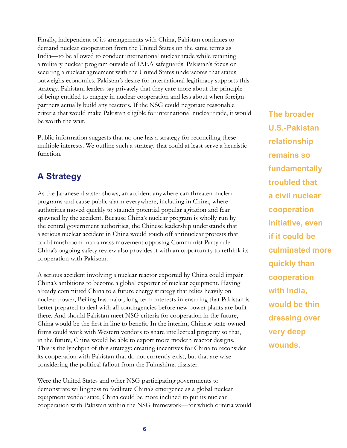Finally, independent of its arrangements with China, Pakistan continues to demand nuclear cooperation from the United States on the same terms as India—to be allowed to conduct international nuclear trade while retaining a military nuclear program outside of IAEA safeguards. Pakistan's focus on securing a nuclear agreement with the United States underscores that status outweighs economics. Pakistan's desire for international legitimacy supports this strategy. Pakistani leaders say privately that they care more about the principle of being entitled to engage in nuclear cooperation and less about when foreign partners actually build any reactors. If the NSG could negotiate reasonable criteria that would make Pakistan eligible for international nuclear trade, it would be worth the wait.

Public information suggests that no one has a strategy for reconciling these multiple interests. We outline such a strategy that could at least serve a heuristic function.

## **A Strategy**

As the Japanese disaster shows, an accident anywhere can threaten nuclear programs and cause public alarm everywhere, including in China, where authorities moved quickly to staunch potential popular agitation and fear spawned by the accident. Because China's nuclear program is wholly run by the central government authorities, the Chinese leadership understands that a serious nuclear accident in China would touch off antinuclear protests that could mushroom into a mass movement opposing Communist Party rule. China's ongoing safety review also provides it with an opportunity to rethink its cooperation with Pakistan.

A serious accident involving a nuclear reactor exported by China could impair China's ambitions to become a global exporter of nuclear equipment. Having already committed China to a future energy strategy that relies heavily on nuclear power, Beijing has major, long-term interests in ensuring that Pakistan is better prepared to deal with all contingencies before new power plants are built there. And should Pakistan meet NSG criteria for cooperation in the future, China would be the first in line to benefit. In the interim, Chinese state-owned firms could work with Western vendors to share intellectual property so that, in the future, China would be able to export more modern reactor designs. This is the lynchpin of this strategy: creating incentives for China to reconsider its cooperation with Pakistan that do not currently exist, but that are wise considering the political fallout from the Fukushima disaster.

Were the United States and other NSG participating governments to demonstrate willingness to facilitate China's emergence as a global nuclear equipment vendor state, China could be more inclined to put its nuclear cooperation with Pakistan within the NSG framework—for which criteria would

**The broader U.S.-Pakistan relationship remains so fundamentally troubled that a civil nuclear cooperation initiative, even if it could be culminated more quickly than cooperation with India, would be thin dressing over very deep wounds.**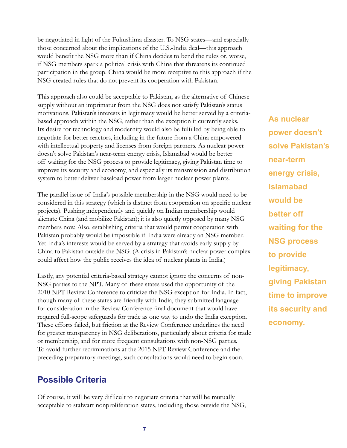be negotiated in light of the Fukushima disaster. To NSG states—and especially those concerned about the implications of the U.S.-India deal—this approach would benefit the NSG more than if China decides to bend the rules or, worse, if NSG members spark a political crisis with China that threatens its continued participation in the group. China would be more receptive to this approach if the NSG created rules that do not prevent its cooperation with Pakistan.

This approach also could be acceptable to Pakistan, as the alternative of Chinese supply without an imprimatur from the NSG does not satisfy Pakistan's status motivations. Pakistan's interests in legitimacy would be better served by a criteriabased approach within the NSG, rather than the exception it currently seeks. Its desire for technology and modernity would also be fulfilled by being able to negotiate for better reactors, including in the future from a China empowered with intellectual property and licenses from foreign partners. As nuclear power doesn't solve Pakistan's near-term energy crisis, Islamabad would be better off waiting for the NSG process to provide legitimacy, giving Pakistan time to improve its security and economy, and especially its transmission and distribution system to better deliver baseload power from larger nuclear power plants.

The parallel issue of India's possible membership in the NSG would need to be considered in this strategy (which is distinct from cooperation on specific nuclear projects). Pushing independently and quickly on Indian membership would alienate China (and mobilize Pakistan); it is also quietly opposed by many NSG members now. Also, establishing criteria that would permit cooperation with Pakistan probably would be impossible if India were already an NSG member. Yet India's interests would be served by a strategy that avoids early supply by China to Pakistan outside the NSG. (A crisis in Pakistan's nuclear power complex could affect how the public receives the idea of nuclear plants in India.)

Lastly, any potential criteria-based strategy cannot ignore the concerns of non-NSG parties to the NPT. Many of these states used the opportunity of the 2010 NPT Review Conference to criticize the NSG exception for India. In fact, though many of these states are friendly with India, they submitted language for consideration in the Review Conference final document that would have required full-scope safeguards for trade as one way to undo the India exception. These efforts failed, but friction at the Review Conference underlines the need for greater transparency in NSG deliberations, particularly about criteria for trade or membership, and for more frequent consultations with non-NSG parties. To avoid further recriminations at the 2015 NPT Review Conference and the preceding preparatory meetings, such consultations would need to begin soon.

## **Possible Criteria**

Of course, it will be very difficult to negotiate criteria that will be mutually acceptable to stalwart nonproliferation states, including those outside the NSG, **As nuclear power doesn't solve Pakistan's near-term energy crisis, Islamabad would be better off waiting for the NSG process to provide legitimacy, giving Pakistan time to improve its security and economy.**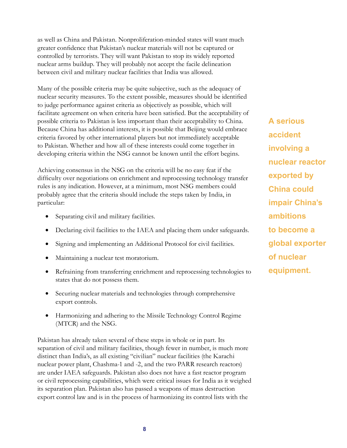as well as China and Pakistan. Nonproliferation-minded states will want much greater confidence that Pakistan's nuclear materials will not be captured or controlled by terrorists. They will want Pakistan to stop its widely reported nuclear arms buildup. They will probably not accept the facile delineation between civil and military nuclear facilities that India was allowed.

Many of the possible criteria may be quite subjective, such as the adequacy of nuclear security measures. To the extent possible, measures should be identified to judge performance against criteria as objectively as possible, which will facilitate agreement on when criteria have been satisfied. But the acceptability of possible criteria to Pakistan is less important than their acceptability to China. Because China has additional interests, it is possible that Beijing would embrace criteria favored by other international players but not immediately acceptable to Pakistan. Whether and how all of these interests could come together in developing criteria within the NSG cannot be known until the effort begins.

Achieving consensus in the NSG on the criteria will be no easy feat if the difficulty over negotiations on enrichment and reprocessing technology transfer rules is any indication. However, at a minimum, most NSG members could probably agree that the criteria should include the steps taken by India, in particular:

- Separating civil and military facilities.
- Declaring civil facilities to the IAEA and placing them under safeguards.
- Signing and implementing an Additional Protocol for civil facilities.
- Maintaining a nuclear test moratorium.
- Refraining from transferring enrichment and reprocessing technologies to states that do not possess them.
- Securing nuclear materials and technologies through comprehensive export controls.
- Harmonizing and adhering to the Missile Technology Control Regime (MTCR) and the NSG.

Pakistan has already taken several of these steps in whole or in part. Its separation of civil and military facilities, though fewer in number, is much more distinct than India's, as all existing "civilian" nuclear facilities (the Karachi nuclear power plant, Chashma-1 and -2, and the two PARR research reactors) are under IAEA safeguards. Pakistan also does not have a fast reactor program or civil reprocessing capabilities, which were critical issues for India as it weighed its separation plan. Pakistan also has passed a weapons of mass destruction export control law and is in the process of harmonizing its control lists with the

**A serious accident involving a nuclear reactor exported by China could impair China's ambitions to become a global exporter of nuclear equipment.**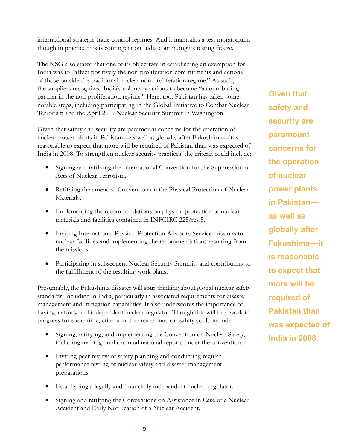international strategic trade control regimes. And it maintains a test moratorium, though in practice this is contingent on India continuing its testing freeze.

The NSG also stated that one of its objectives in establishing an exemption for India was to "affect positively the non-proliferation commitments and actions of those outside the traditional nuclear non-proliferation regime." As such, the suppliers recognized India's voluntary actions to become "a contributing partner in the non-proliferation regime." Here, too, Pakistan has taken some notable steps, including participating in the Global Initiative to Combat Nuclear Terrorism and the April 2010 Nuclear Security Summit in Washington.

Given that safety and security are paramount concerns for the operation of nuclear power plants in Pakistan—as well as globally after Fukushima—it is reasonable to expect that more will be required of Pakistan than was expected of India in 2008. To strengthen nuclear security practices, the criteria could include:

- Signing and ratifying the International Convention for the Suppression of Acts of Nuclear Terrorism.
- Ratifying the amended Convention on the Physical Protection of Nuclear Materials.
- Implementing the recommendations on physical protection of nuclear materials and facilities contained in INFCIRC 225/rev.5.
- Inviting International Physical Protection Advisory Service missions to nuclear facilities and implementing the recommendations resulting from the missions.
- Participating in subsequent Nuclear Security Summits and contributing to the fulfillment of the resulting work plans.

Presumably, the Fukushima disaster will spur thinking about global nuclear safety standards, including in India, particularly in associated requirements for disaster management and mitigation capabilities. It also underscores the importance of having a strong and independent nuclear regulator. Though this will be a work in progress for some time, criteria in the area of nuclear safety could include:

- Signing, ratifying, and implementing the Convention on Nuclear Safety, including making public annual national reports under the convention.
- Inviting peer review of safety planning and conducting regular performance testing of nuclear safety and disaster management preparations.
- Establishing a legally and financially independent nuclear regulator.
- Signing and ratifying the Conventions on Assistance in Case of a Nuclear Accident and Early Notification of a Nuclear Accident.

**Given that safety and security are paramount concerns for the operation of nuclear power plants in Pakistan as well as globally after Fukushima—it is reasonable to expect that more will be required of Pakistan than was expected of India in 2008.**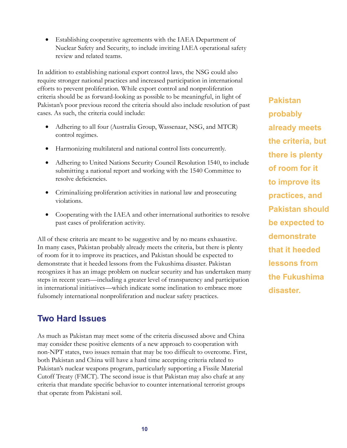• Establishing cooperative agreements with the IAEA Department of Nuclear Safety and Security, to include inviting IAEA operational safety review and related teams.

In addition to establishing national export control laws, the NSG could also require stronger national practices and increased participation in international efforts to prevent proliferation. While export control and nonproliferation criteria should be as forward-looking as possible to be meaningful, in light of Pakistan's poor previous record the criteria should also include resolution of past cases. As such, the criteria could include:

- Adhering to all four (Australia Group, Wassenaar, NSG, and MTCR) control regimes.
- Harmonizing multilateral and national control lists concurrently.
- Adhering to United Nations Security Council Resolution 1540, to include submitting a national report and working with the 1540 Committee to resolve deficiencies.
- Criminalizing proliferation activities in national law and prosecuting violations.
- Cooperating with the IAEA and other international authorities to resolve past cases of proliferation activity.

All of these criteria are meant to be suggestive and by no means exhaustive. In many cases, Pakistan probably already meets the criteria, but there is plenty of room for it to improve its practices, and Pakistan should be expected to demonstrate that it heeded lessons from the Fukushima disaster. Pakistan recognizes it has an image problem on nuclear security and has undertaken many steps in recent years—including a greater level of transparency and participation in international initiatives—which indicate some inclination to embrace more fulsomely international nonproliferation and nuclear safety practices.

## **Two Hard Issues**

As much as Pakistan may meet some of the criteria discussed above and China may consider these positive elements of a new approach to cooperation with non-NPT states, two issues remain that may be too difficult to overcome. First, both Pakistan and China will have a hard time accepting criteria related to Pakistan's nuclear weapons program, particularly supporting a Fissile Material Cutoff Treaty (FMCT). The second issue is that Pakistan may also chafe at any criteria that mandate specific behavior to counter international terrorist groups that operate from Pakistani soil.

**Pakistan probably already meets the criteria, but there is plenty of room for it to improve its practices, and Pakistan should be expected to demonstrate that it heeded lessons from the Fukushima disaster.**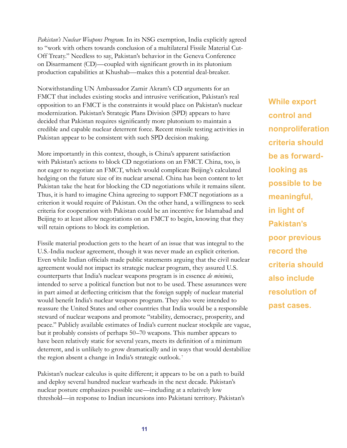*Pakistan's Nuclear Weapons Program.* In its NSG exemption, India explicitly agreed to "work with others towards conclusion of a multilateral Fissile Material Cut-Off Treaty." Needless to say, Pakistan's behavior in the Geneva Conference on Disarmament (CD)—coupled with significant growth in its plutonium production capabilities at Khushab—makes this a potential deal-breaker.

Notwithstanding UN Ambassador Zamir Akram's CD arguments for an FMCT that includes existing stocks and intrusive verification, Pakistan's real opposition to an FMCT is the constraints it would place on Pakistan's nuclear modernization. Pakistan's Strategic Plans Division (SPD) appears to have decided that Pakistan requires significantly more plutonium to maintain a credible and capable nuclear deterrent force. Recent missile testing activities in Pakistan appear to be consistent with such SPD decision making.

More importantly in this context, though, is China's apparent satisfaction with Pakistan's actions to block CD negotiations on an FMCT. China, too, is not eager to negotiate an FMCT, which would complicate Beijing's calculated hedging on the future size of its nuclear arsenal. China has been content to let Pakistan take the heat for blocking the CD negotiations while it remains silent. Thus, it is hard to imagine China agreeing to support FMCT negotiations as a criterion it would require of Pakistan. On the other hand, a willingness to seek criteria for cooperation with Pakistan could be an incentive for Islamabad and Beijing to at least allow negotiations on an FMCT to begin, knowing that they will retain options to block its completion.

Fissile material production gets to the heart of an issue that was integral to the U.S.-India nuclear agreement, though it was never made an explicit criterion. Even while Indian officials made public statements arguing that the civil nuclear agreement would not impact its strategic nuclear program, they assured U.S. counterparts that India's nuclear weapons program is in essence *de minimis*, intended to serve a political function but not to be used. These assurances were in part aimed at deflecting criticism that the foreign supply of nuclear material would benefit India's nuclear weapons program. They also were intended to reassure the United States and other countries that India would be a responsible steward of nuclear weapons and promote "stability, democracy, prosperity, and peace." Publicly available estimates of India's current nuclear stockpile are vague, but it probably consists of perhaps 50–70 weapons. This number appears to have been relatively static for several years, meets its definition of a minimum deterrent, and is unlikely to grow dramatically and in ways that would destabilize the region absent a change in India's strategic outlook. 7

Pakistan's nuclear calculus is quite different; it appears to be on a path to build and deploy several hundred nuclear warheads in the next decade. Pakistan's nuclear posture emphasizes possible use—including at a relatively low threshold—in response to Indian incursions into Pakistani territory. Pakistan's **While export control and nonproliferation criteria should be as forwardlooking as possible to be meaningful, in light of Pakistan's poor previous record the criteria should also include resolution of past cases.**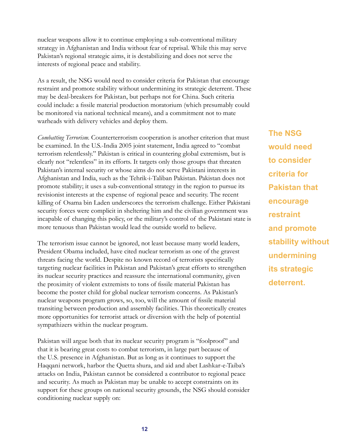nuclear weapons allow it to continue employing a sub-conventional military strategy in Afghanistan and India without fear of reprisal. While this may serve Pakistan's regional strategic aims, it is destabilizing and does not serve the interests of regional peace and stability.

As a result, the NSG would need to consider criteria for Pakistan that encourage restraint and promote stability without undermining its strategic deterrent. These may be deal-breakers for Pakistan, but perhaps not for China. Such criteria could include: a fissile material production moratorium (which presumably could be monitored via national technical means), and a commitment not to mate warheads with delivery vehicles and deploy them.

*Combatting Terrorism.* Counterterrorism cooperation is another criterion that must be examined. In the U.S.-India 2005 joint statement, India agreed to "combat terrorism relentlessly." Pakistan is critical in countering global extremism, but is clearly not "relentless" in its efforts. It targets only those groups that threaten Pakistan's internal security or whose aims do not serve Pakistani interests in Afghanistan and India, such as the Tehrik-i-Taliban Pakistan. Pakistan does not promote stability; it uses a sub-conventional strategy in the region to pursue its revisionist interests at the expense of regional peace and security. The recent killing of Osama bin Laden underscores the terrorism challenge. Either Pakistani security forces were complicit in sheltering him and the civilian government was incapable of changing this policy, or the military's control of the Pakistani state is more tenuous than Pakistan would lead the outside world to believe.

The terrorism issue cannot be ignored, not least because many world leaders, President Obama included, have cited nuclear terrorism as one of the gravest threats facing the world. Despite no known record of terrorists specifically targeting nuclear facilities in Pakistan and Pakistan's great efforts to strengthen its nuclear security practices and reassure the international community, given the proximity of violent extremists to tons of fissile material Pakistan has become the poster child for global nuclear terrorism concerns. As Pakistan's nuclear weapons program grows, so, too, will the amount of fissile material transiting between production and assembly facilities. This theoretically creates more opportunities for terrorist attack or diversion with the help of potential sympathizers within the nuclear program.

Pakistan will argue both that its nuclear security program is "foolproof" and that it is bearing great costs to combat terrorism, in large part because of the U.S. presence in Afghanistan. But as long as it continues to support the Haqqani network, harbor the Quetta shura, and aid and abet Lashkar-e-Taiba's attacks on India, Pakistan cannot be considered a contributor to regional peace and security. As much as Pakistan may be unable to accept constraints on its support for these groups on national security grounds, the NSG should consider conditioning nuclear supply on:

**The NSG would need to consider criteria for Pakistan that encourage restraint and promote stability without undermining its strategic deterrent.**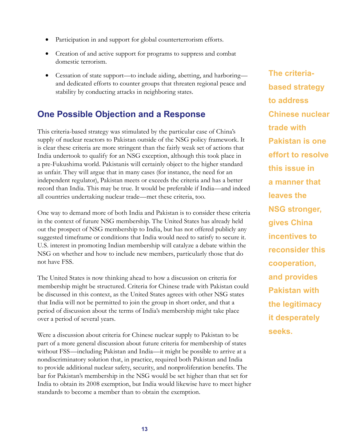- Participation in and support for global counterterrorism efforts.
- Creation of and active support for programs to suppress and combat domestic terrorism.
- Cessation of state support—to include aiding, abetting, and harboring and dedicated efforts to counter groups that threaten regional peace and stability by conducting attacks in neighboring states.

## **One Possible Objection and a Response**

This criteria-based strategy was stimulated by the particular case of China's supply of nuclear reactors to Pakistan outside of the NSG policy framework. It is clear these criteria are more stringent than the fairly weak set of actions that India undertook to qualify for an NSG exception, although this took place in a pre-Fukushima world. Pakistanis will certainly object to the higher standard as unfair. They will argue that in many cases (for instance, the need for an independent regulator), Pakistan meets or exceeds the criteria and has a better record than India. This may be true. It would be preferable if India—and indeed all countries undertaking nuclear trade—met these criteria, too.

One way to demand more of both India and Pakistan is to consider these criteria in the context of future NSG membership. The United States has already held out the prospect of NSG membership to India, but has not offered publicly any suggested timeframe or conditions that India would need to satisfy to secure it. U.S. interest in promoting Indian membership will catalyze a debate within the NSG on whether and how to include new members, particularly those that do not have FSS.

The United States is now thinking ahead to how a discussion on criteria for membership might be structured. Criteria for Chinese trade with Pakistan could be discussed in this context, as the United States agrees with other NSG states that India will not be permitted to join the group in short order, and that a period of discussion about the terms of India's membership might take place over a period of several years.

Were a discussion about criteria for Chinese nuclear supply to Pakistan to be part of a more general discussion about future criteria for membership of states without FSS—including Pakistan and India—it might be possible to arrive at a nondiscriminatory solution that, in practice, required both Pakistan and India to provide additional nuclear safety, security, and nonproliferation benefits. The bar for Pakistan's membership in the NSG would be set higher than that set for India to obtain its 2008 exemption, but India would likewise have to meet higher standards to become a member than to obtain the exemption.

**The criteriabased strategy to address Chinese nuclear trade with Pakistan is one effort to resolve this issue in a manner that leaves the NSG stronger, gives China incentives to reconsider this cooperation, and provides Pakistan with the legitimacy it desperately seeks.**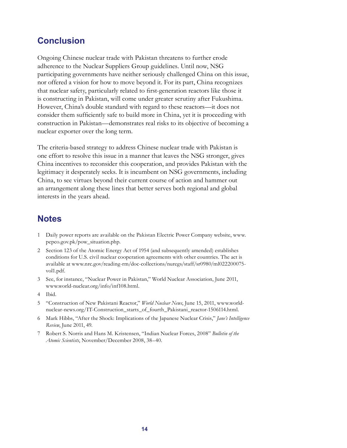## **Conclusion**

Ongoing Chinese nuclear trade with Pakistan threatens to further erode adherence to the Nuclear Suppliers Group guidelines. Until now, NSG participating governments have neither seriously challenged China on this issue, nor offered a vision for how to move beyond it. For its part, China recognizes that nuclear safety, particularly related to first-generation reactors like those it is constructing in Pakistan, will come under greater scrutiny after Fukushima. However, China's double standard with regard to these reactors—it does not consider them sufficiently safe to build more in China, yet it is proceeding with construction in Pakistan—demonstrates real risks to its objective of becoming a nuclear exporter over the long term.

The criteria-based strategy to address Chinese nuclear trade with Pakistan is one effort to resolve this issue in a manner that leaves the NSG stronger, gives China incentives to reconsider this cooperation, and provides Pakistan with the legitimacy it desperately seeks. It is incumbent on NSG governments, including China, to see virtues beyond their current course of action and hammer out an arrangement along these lines that better serves both regional and global interests in the years ahead.

#### **Notes**

- 1 Daily power reports are available on the Pakistan Electric Power Company website, www. pepco.gov.pk/pow\_situation.php.
- 2 Section 123 of the Atomic Energy Act of 1954 (and subsequently amended) establishes conditions for U.S. civil nuclear cooperation agreements with other countries. The act is available at www.nrc.gov/reading-rm/doc-collections/nuregs/staff/sr0980/ml022200075 vol1.pdf.
- 3 See, for instance, "Nuclear Power in Pakistan," World Nuclear Association, June 2011, www.world-nuclear.org/info/inf108.html.
- 4 Ibid.
- 5 "Construction of New Pakistani Reactor," *World Nuclear News*, June 15, 2011, www.worldnuclear-news.org/IT-Construction\_starts\_of\_fourth\_Pakistani\_reactor-1506114.html.
- 6 Mark Hibbs, "After the Shock: Implications of the Japanese Nuclear Crisis," *Jane's Intelligence Review*, June 2011, 49.
- 7 Robert S. Norris and Hans M. Kristensen, "Indian Nuclear Forces, 2008" *Bulletin of the Atomic Scientists*, November/December 2008, 38–40.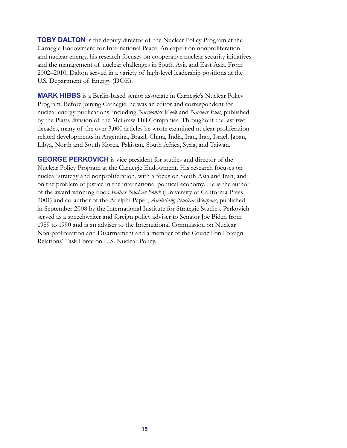**TOBY DALTON** is the deputy director of the Nuclear Policy Program at the Carnegie Endowment for International Peace. An expert on nonproliferation and nuclear energy, his research focuses on cooperative nuclear security initiatives and the management of nuclear challenges in South Asia and East Asia. From 2002–2010, Dalton served in a variety of high-level leadership positions at the U.S. Department of Energy (DOE).

**MARK HIBBS** is a Berlin-based senior associate in Carnegie's Nuclear Policy Program. Before joining Carnegie, he was an editor and correspondent for nuclear energy publications, including *Nucleonics Week* and *Nuclear Fuel*, published by the Platts division of the McGraw-Hill Companies. Throughout the last two decades, many of the over 3,000 articles he wrote examined nuclear proliferationrelated developments in Argentina, Brazil, China, India, Iran, Iraq, Israel, Japan, Libya, North and South Korea, Pakistan, South Africa, Syria, and Taiwan.

**GEORGE PERKOVICH** is vice president for studies and director of the Nuclear Policy Program at the Carnegie Endowment. His research focuses on nuclear strategy and nonproliferation, with a focus on South Asia and Iran, and on the problem of justice in the international political economy. He is the author of the award-winning book *India's Nuclear Bomb* (University of California Press, 2001) and co-author of the Adelphi Paper, *Abolishing Nuclear Weapons*, published in September 2008 by the International Institute for Strategic Studies. Perkovich served as a speechwriter and foreign policy adviser to Senator Joe Biden from 1989 to 1990 and is an adviser to the International Commission on Nuclear Non-proliferation and Disarmament and a member of the Council on Foreign Relations' Task Force on U.S. Nuclear Policy.